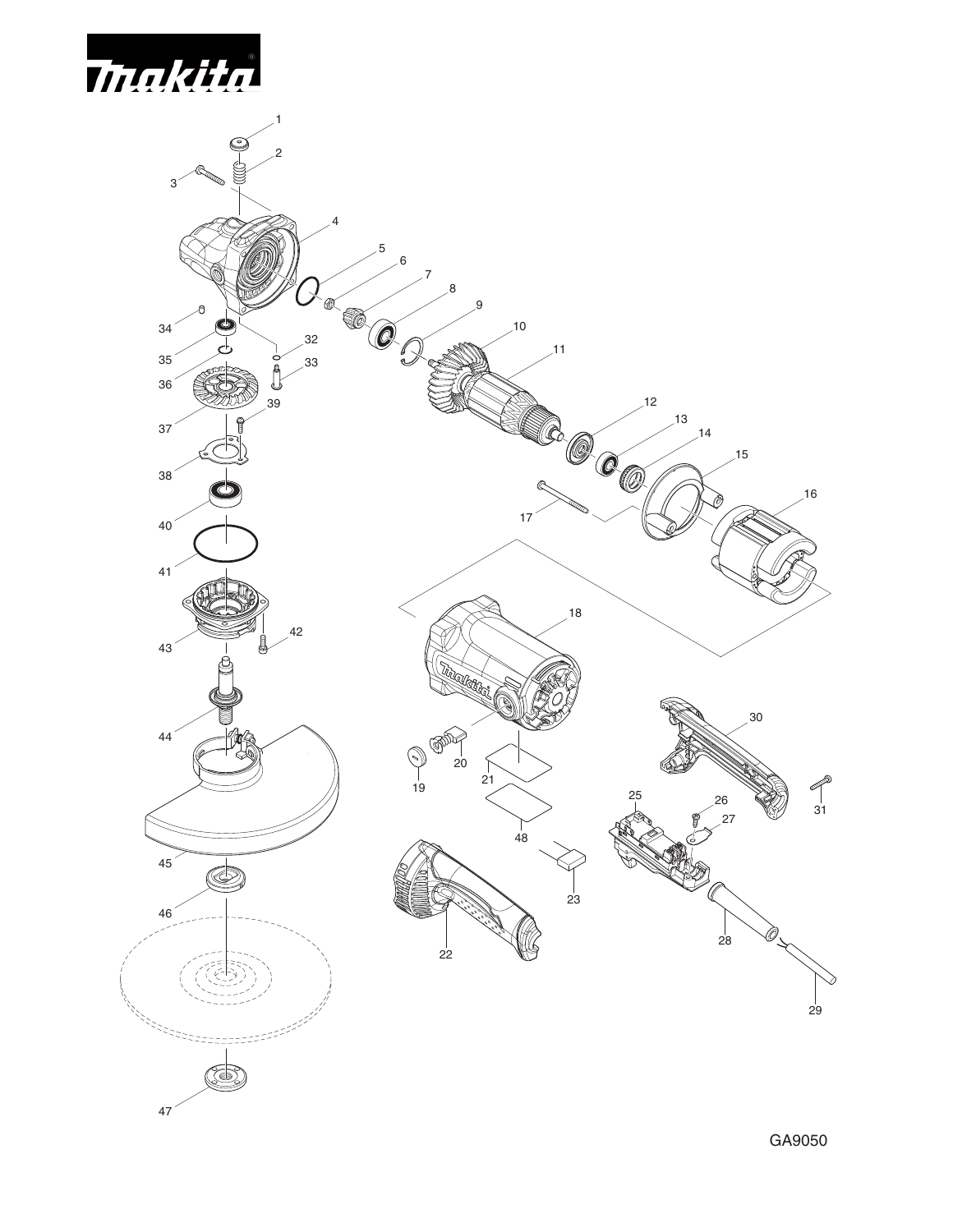

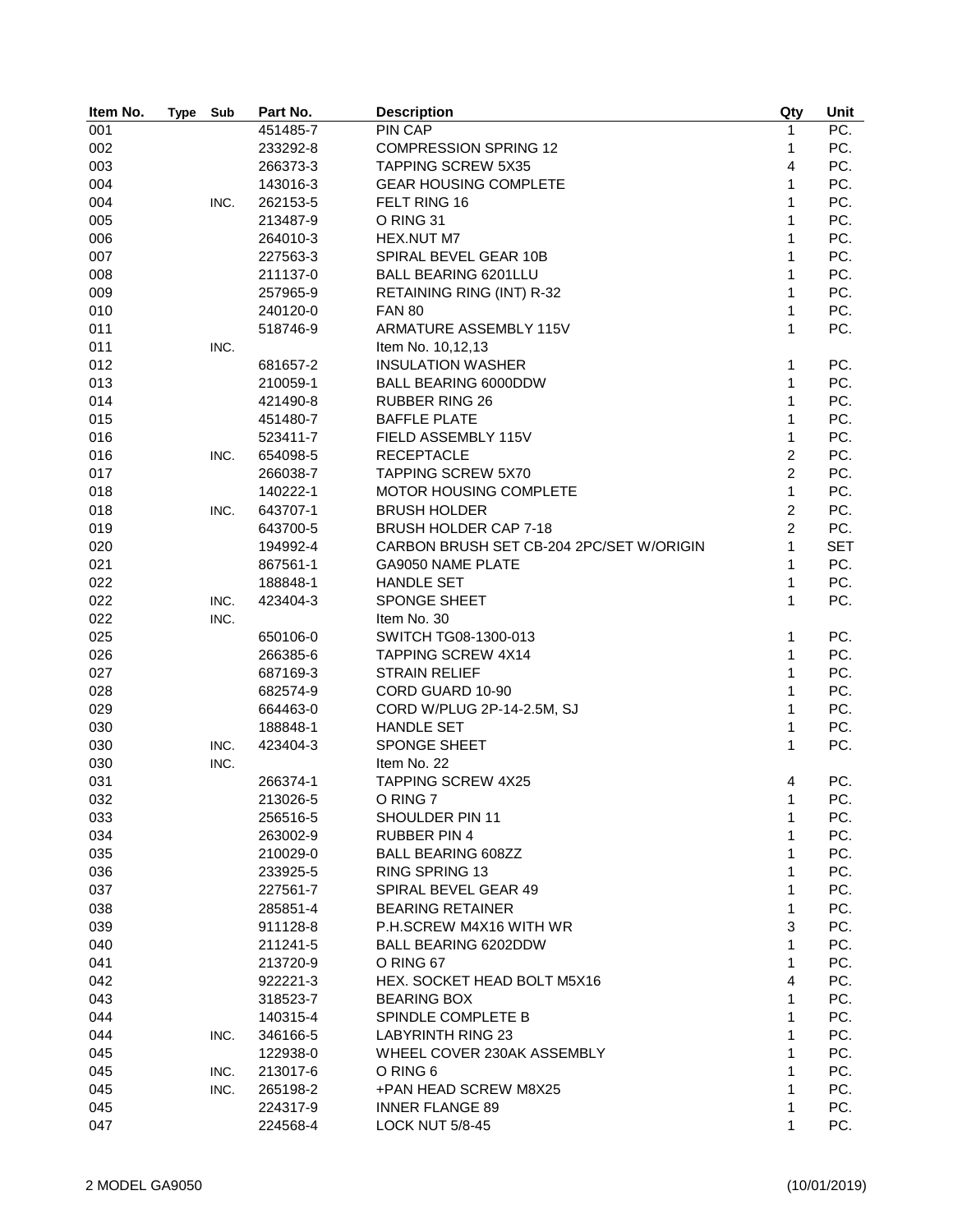| Item No. | <b>Type</b> | Sub  | Part No. | <b>Description</b>                       | Qty            | Unit       |
|----------|-------------|------|----------|------------------------------------------|----------------|------------|
| 001      |             |      | 451485-7 | PIN CAP                                  | 1              | PC.        |
| 002      |             |      | 233292-8 | <b>COMPRESSION SPRING 12</b>             | $\mathbf{1}$   | PC.        |
| 003      |             |      | 266373-3 | <b>TAPPING SCREW 5X35</b>                | 4              | PC.        |
| 004      |             |      | 143016-3 | <b>GEAR HOUSING COMPLETE</b>             | $\mathbf{1}$   | PC.        |
| 004      |             | INC. | 262153-5 | FELT RING 16                             | 1              | PC.        |
| 005      |             |      | 213487-9 | O RING 31                                | 1              | PC.        |
| 006      |             |      | 264010-3 | HEX.NUT M7                               | 1              | PC.        |
| 007      |             |      | 227563-3 | SPIRAL BEVEL GEAR 10B                    | $\mathbf{1}$   | PC.        |
| 008      |             |      | 211137-0 | <b>BALL BEARING 6201LLU</b>              | $\mathbf{1}$   | PC.        |
| 009      |             |      | 257965-9 | RETAINING RING (INT) R-32                | $\mathbf{1}$   | PC.        |
| 010      |             |      | 240120-0 | <b>FAN 80</b>                            | $\mathbf{1}$   | PC.        |
| 011      |             |      | 518746-9 | ARMATURE ASSEMBLY 115V                   | $\mathbf{1}$   | PC.        |
| 011      |             | INC. |          | Item No. 10,12,13                        |                |            |
| 012      |             |      | 681657-2 | <b>INSULATION WASHER</b>                 | $\mathbf{1}$   | PC.        |
| 013      |             |      | 210059-1 | <b>BALL BEARING 6000DDW</b>              | 1              | PC.        |
| 014      |             |      | 421490-8 | <b>RUBBER RING 26</b>                    | $\mathbf{1}$   | PC.        |
| 015      |             |      | 451480-7 | <b>BAFFLE PLATE</b>                      | $\mathbf{1}$   | PC.        |
| 016      |             |      | 523411-7 | FIELD ASSEMBLY 115V                      | $\mathbf{1}$   | PC.        |
|          |             |      |          | <b>RECEPTACLE</b>                        | $\overline{c}$ | PC.        |
| 016      |             | INC. | 654098-5 |                                          | $\overline{2}$ |            |
| 017      |             |      | 266038-7 | <b>TAPPING SCREW 5X70</b>                |                | PC.        |
| 018      |             |      | 140222-1 | MOTOR HOUSING COMPLETE                   | 1              | PC.        |
| 018      |             | INC. | 643707-1 | <b>BRUSH HOLDER</b>                      | $\overline{2}$ | PC.        |
| 019      |             |      | 643700-5 | <b>BRUSH HOLDER CAP 7-18</b>             | $\overline{2}$ | PC.        |
| 020      |             |      | 194992-4 | CARBON BRUSH SET CB-204 2PC/SET W/ORIGIN | 1              | <b>SET</b> |
| 021      |             |      | 867561-1 | GA9050 NAME PLATE                        | 1              | PC.        |
| 022      |             |      | 188848-1 | <b>HANDLE SET</b>                        | $\mathbf{1}$   | PC.        |
| 022      |             | INC. | 423404-3 | SPONGE SHEET                             | $\mathbf{1}$   | PC.        |
| 022      |             | INC. |          | Item No. 30                              |                |            |
| 025      |             |      | 650106-0 | SWITCH TG08-1300-013                     | $\mathbf{1}$   | PC.        |
| 026      |             |      | 266385-6 | <b>TAPPING SCREW 4X14</b>                | $\mathbf{1}$   | PC.        |
| 027      |             |      | 687169-3 | <b>STRAIN RELIEF</b>                     | 1              | PC.        |
| 028      |             |      | 682574-9 | CORD GUARD 10-90                         | $\mathbf{1}$   | PC.        |
| 029      |             |      | 664463-0 | CORD W/PLUG 2P-14-2.5M, SJ               | $\mathbf{1}$   | PC.        |
| 030      |             |      | 188848-1 | <b>HANDLE SET</b>                        | $\mathbf{1}$   | PC.        |
| 030      |             | INC. | 423404-3 | SPONGE SHEET                             | $\mathbf{1}$   | PC.        |
| 030      |             | INC. |          | Item No. 22                              |                |            |
| 031      |             |      | 266374-1 | <b>TAPPING SCREW 4X25</b>                | 4              | PC.        |
| 032      |             |      | 213026-5 | O RING 7                                 | 1              | PC.        |
| 033      |             |      | 256516-5 | SHOULDER PIN 11                          | 1              | PC.        |
| 034      |             |      | 263002-9 | <b>RUBBER PIN 4</b>                      | 1              | PC.        |
| 035      |             |      | 210029-0 | <b>BALL BEARING 608ZZ</b>                | 1              | PC.        |
| 036      |             |      | 233925-5 | RING SPRING 13                           | 1              | PC.        |
| 037      |             |      | 227561-7 | SPIRAL BEVEL GEAR 49                     | 1              | PC.        |
| 038      |             |      | 285851-4 | <b>BEARING RETAINER</b>                  | $\mathbf{1}$   | PC.        |
| 039      |             |      | 911128-8 | P.H.SCREW M4X16 WITH WR                  | 3              | PC.        |
| 040      |             |      | 211241-5 | <b>BALL BEARING 6202DDW</b>              | 1              | PC.        |
| 041      |             |      | 213720-9 | O RING 67                                | 1              | PC.        |
| 042      |             |      | 922221-3 | HEX. SOCKET HEAD BOLT M5X16              | 4              | PC.        |
| 043      |             |      | 318523-7 | <b>BEARING BOX</b>                       | 1              | PC.        |
| 044      |             |      | 140315-4 | SPINDLE COMPLETE B                       | 1              | PC.        |
| 044      |             | INC. | 346166-5 | <b>LABYRINTH RING 23</b>                 | 1              | PC.        |
| 045      |             |      | 122938-0 | WHEEL COVER 230AK ASSEMBLY               | 1              | PC.        |
| 045      |             | INC. | 213017-6 | O RING 6                                 | 1              | PC.        |
| 045      |             | INC. |          | +PAN HEAD SCREW M8X25                    | 1              | PC.        |
|          |             |      | 265198-2 | <b>INNER FLANGE 89</b>                   | 1              | PC.        |
| 045      |             |      | 224317-9 |                                          |                |            |
| 047      |             |      | 224568-4 | <b>LOCK NUT 5/8-45</b>                   | 1              | PC.        |